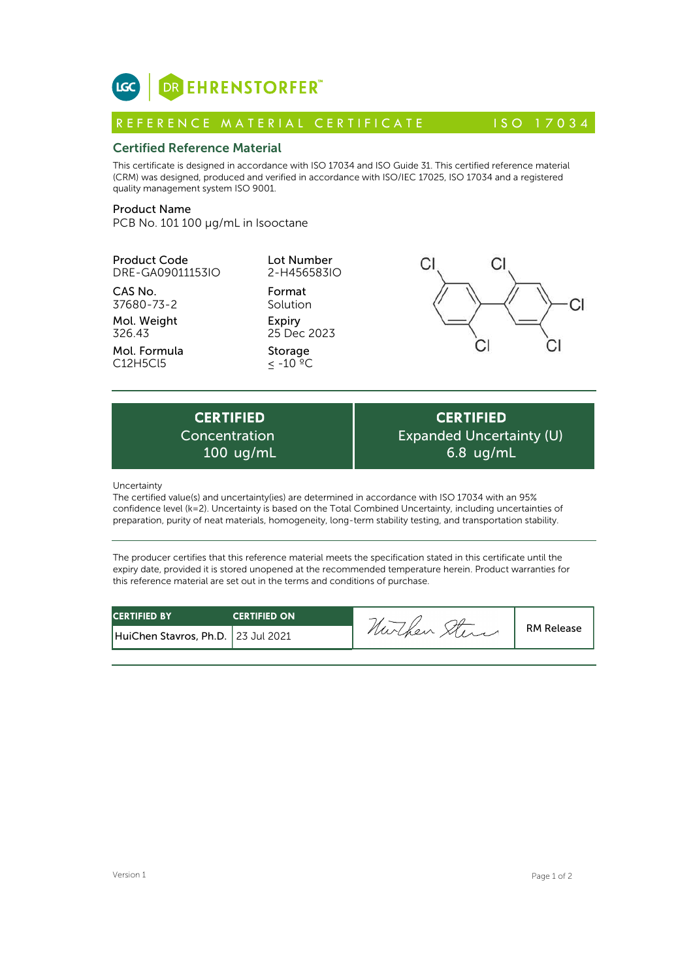

## Certified Reference Material

This certificate is designed in accordance with ISO 17034 and ISO Guide 31. This certified reference material (CRM) was designed, produced and verified in accordance with ISO/IEC 17025, ISO 17034 and a registered quality management system ISO 9001. **ICC**<br> **REFERENCE MATERIAL CERTIFICATE**<br> **REFERENCE MATERIAL CERTIFICATE** ISO 17034<br> **Certified Reference Material**<br>
CFIM) was designed, produced and verified in accordance with ISO 17034 and ISO Guide 31. This certified r

# Product Name

PCB No. 101 100 µg/mL in Isooctane

Product Code DRE-GA09011153IO

CAS No. 37680-73-2

Mol. Weight 326.43

Mol. Formula C12H5Cl5

Lot Number 2-H456583IO

Format Solution Expiry 25 Dec 2023

Storage  $\leq$  -10  $^{\circ}$ °C



**CERTIFIED** Concentration 100 ug/mL

**CERTIFIED** Expanded Uncertainty (U) 6.8 ug/mL

Uncertainty

The certified value(s) and uncertainty(ies) are determined in accordance with ISO 17034 with an 95% confidence level (k=2). Uncertainty is based on the Total Combined Uncertainty, including uncertainties of preparation, purity of neat materials, homogeneity, long-term stability testing, and transportation stability.

The producer certifies that this reference material meets the specification stated in this certificate until the expiry date, provided it is stored unopened at the recommended temperature herein. Product warranties for this reference material are set out in the terms and conditions of purchase.

| <b>CERTIFIED BY</b>                  | <b>CERTIFIED ON</b> | -       |                   |
|--------------------------------------|---------------------|---------|-------------------|
| HuiChen Stavros, Ph.D.   23 Jul 2021 |                     | nurchen | <b>RM Release</b> |